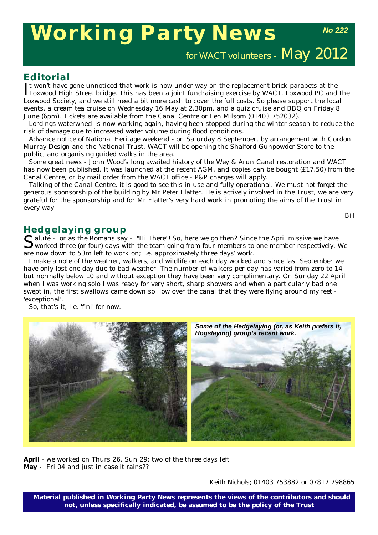# **Working Party News**

*No 222*

for WACT volunteers - May 2012

# **Editorial**

It won't have gone unnoticed that work is now under way on the replacement brick parapets at the Loxwood High Street bridge. This has been a joint fundraising exercise by WACT, Loxwood PC and the t won't have gone unnoticed that work is now under way on the replacement brick parapets at the Loxwood Society, and we still need a bit more cash to cover the full costs. So please support the local events, a cream tea cruise on Wednesday 16 May at 2.30pm, and a quiz cruise and BBQ on Friday 8 June (6pm). Tickets are available from the Canal Centre or Len Milsom (01403 752032).

Lordings waterwheel is now working again, having been stopped during the winter season to reduce the risk of damage due to increased water volume during flood conditions.

Advance notice of National Heritage weekend - on Saturday 8 September, by arrangement with Gordon Murray Design and the National Trust, WACT will be opening the Shalford Gunpowder Store to the public, and organising guided walks in the area.

Some great news - John Wood's long awaited history of the Wey & Arun Canal restoration and WACT has now been published. It was launched at the recent AGM, and copies can be bought (£17.50) from the Canal Centre, or by mail order from the WACT office - P&P charges will apply.

Talking of the Canal Centre, it is good to see this in use and fully operational. We must not forget the generous sponsorship of the building by Mr Peter Flatter. He is actively involved in the Trust, we are very grateful for the sponsorship and for Mr Flatter's very hard work in promoting the aims of the Trust in every way.

*Bill*

### **Hedgelaying group**

Saluté - or as the Romans say - "Hi There"! So, here we go then? Since the April missive we have worked three (or four) days with the team going from four members to one member respectively. We are now down to 53m left to work on; i.e. approximately three days' work.

I make a note of the weather, walkers, and wildlife on each day worked and since last September we have only lost one day due to bad weather. The number of walkers per day has varied from zero to 14 but normally below 10 and without exception they have been very complimentary. On Sunday 22 April when I was working solo I was ready for very short, sharp showers and when a particularly bad one swept in, the first swallows came down so low over the canal that they were flying around my feet - 'exceptional'.

So, that's it, i.e. 'fini' for now.



**April** - we worked on Thurs 26, Sun 29; two of the three days left **May** - Fri 04 and just in case it rains??

*Keith Nichols; 01403 753882 or 07817 798865*

**Material published in** *Working Party News* **represents the views of the contributors and should not, unless specifically indicated, be assumed to be the policy of the Trust**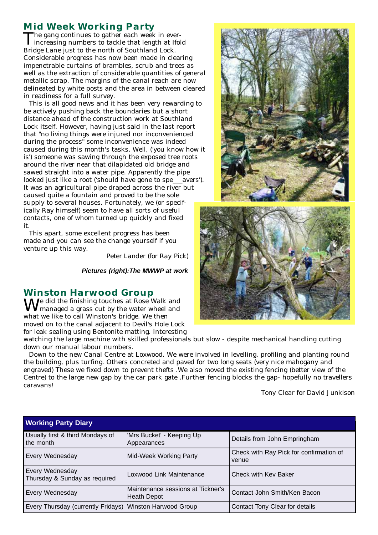## **Mid Week Working Party**

The gang continues to gather each week in ever- $\mathbf 1$  increasing numbers to tackle that length at Ifold Bridge Lane just to the north of Southland Lock. Considerable progress has now been made in clearing impenetrable curtains of brambles, scrub and trees as well as the extraction of considerable quantities of general metallic scrap. The margins of the canal reach are now delineated by white posts and the area in between cleared in readiness for a full survey.

This is all good news and it has been very rewarding to be actively pushing back the boundaries but a short distance ahead of the construction work at Southland Lock itself. However, having just said in the last report that "no living things were injured nor inconvenienced during the process" some inconvenience was indeed caused during this month's tasks. Well, ('you know how it is') someone was sawing through the exposed tree roots around the river near that dilapidated old bridge and sawed straight into a water pipe. Apparently the pipe looked just like a root ('should have gone to spe\_\_\_avers'). It was an agricultural pipe draped across the river but caused quite a fountain and proved to be the sole supply to several houses. Fortunately, we (or specifically Ray himself) seem to have all sorts of useful contacts, one of whom turned up quickly and fixed it.

This apart, some excellent progress has been made and you can see the change yourself if you venture up this way.

*Peter Lander (for Ray Pick)*

*Pictures (right):The MWWP at work*

#### **Winston Harwood Group**

 $\mathbf{W}^{\text{e}}$  did the finishing touches at Rose Walk and  **managed a grass cut by the water wheel and** what we like to call Winston's bridge. We then moved on to the canal adjacent to Devil's Hole Lock for leak sealing using Bentonite matting. Interesting

watching the large machine with skilled professionals but slow - despite mechanical handling cutting down our manual labour numbers.

Down to the new Canal Centre at Loxwood. We were involved in levelling, profiling and planting round the building, plus turfing. Others concreted and paved for two long seats (very nice mahogany and engraved) These we fixed down to prevent thefts .We also moved the existing fencing (better view of the Centre) to the large new gap by the car park gate .Further fencing blocks the gap- hopefully no travellers caravans!

*Tony Clear for David Junkison*

| <b>Working Party Diary</b>                               |                                                         |                                                  |  |  |
|----------------------------------------------------------|---------------------------------------------------------|--------------------------------------------------|--|--|
| Usually first & third Mondays of<br>the month            | 'Mrs Bucket' - Keeping Up<br>Appearances                | Details from John Empringham                     |  |  |
| <b>Every Wednesday</b>                                   | Mid-Week Working Party                                  | Check with Ray Pick for confirmation of<br>venue |  |  |
| Every Wednesday<br>Thursday & Sunday as required         | Loxwood Link Maintenance                                | Check with Key Baker                             |  |  |
| <b>Every Wednesday</b>                                   | Maintenance sessions at Tickner's<br><b>Heath Depot</b> | Contact John Smith/Ken Bacon                     |  |  |
| Every Thursday (currently Fridays) Winston Harwood Group |                                                         | Contact Tony Clear for details                   |  |  |

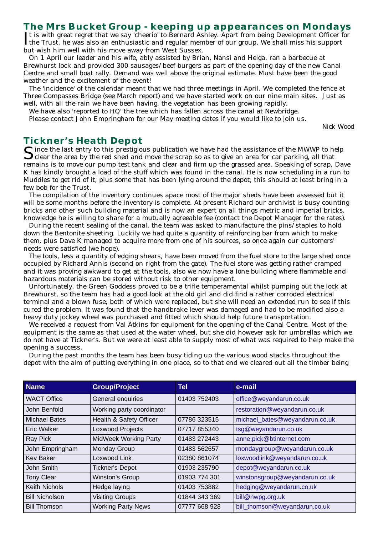#### **The Mrs Bucket Group - keeping up appearances on Mondays**

It is with great regret that we say 'cheerio' to Bernard Ashley. Apart from being Development Officer is<br>the Trust, he was also an enthusiastic and regular member of our group. We shall miss his support It is with great regret that we say 'cheerio' to Bernard Ashley. Apart from being Development Officer for but wish him well with his move away from West Sussex.

On 1 April our leader and his wife, ably assisted by Brian, Nansi and Helga, ran a barbecue at Brewhurst lock and provided 300 sausages/beef burgers as part of the opening day of the new Canal Centre and small boat rally. Demand was well above the original estimate. Must have been the good weather and the excitement of the event!

The 'incidence' of the calendar meant that we had three meetings in April. We completed the fence at Three Compasses Bridge (see March report) and we have started work on our nine main sites. Just as well, with all the rain we have been having, the vegetation has been growing rapidly.

We have also 'reported to HQ' the tree which has fallen across the canal at Newbridge.

Please contact John Empringham for our May meeting dates if you would like to join us.

*Nick Wood*

#### **Tickner's Heath Depot**

 $\bigcap$  ince the last entry to this prestigious publication we have had the assistance of the MWWP to help  $\bigcup$  clear the area by the red shed and move the scrap so as to give an area for car parking, all that remains is to move our pump test tank and clear and firm up the grassed area. Speaking of scrap, Dave K has kindly brought a load of the stuff which was found in the canal. He is now scheduling in a run to Muddles to get rid of it, plus some that has been lying around the depot; this should at least bring in a few bob for the Trust.

The compilation of the inventory continues apace most of the major sheds have been assessed but it will be some months before the inventory is complete. At present Richard our archivist is busy counting bricks and other such building material and is now an expert on all things metric and imperial bricks, knowledge he is willing to share for a mutually agreeable fee (contact the Depot Manager for the rates).

During the recent sealing of the canal, the team was asked to manufacture the pins/staples to hold down the Bentonite sheeting. Luckily we had quite a quantity of reinforcing bar from which to make them, plus Dave K managed to acquire more from one of his sources, so once again our customers' needs were satisfied (we hope).

The tools, less a quantity of edging shears, have been moved from the fuel store to the large shed once occupied by Richard Annis (second on right from the gate). The fuel store was getting rather cramped and it was proving awkward to get at the tools, also we now have a lone building where flammable and hazardous materials can be stored without risk to other equipment.

Unfortunately, the Green Goddess proved to be a trifle temperamental whilst pumping out the lock at Brewhurst, so the team has had a good look at the old girl and did find a rather corroded electrical terminal and a blown fuse; both of which were replaced, but she will need an extended run to see if this cured the problem. It was found that the handbrake lever was damaged and had to be modified also a heavy duty jockey wheel was purchased and fitted which should help future transportation.

We received a request from Val Atkins for equipment for the opening of the Canal Centre. Most of the equipment is the same as that used at the water wheel, but she did however ask for umbrellas which we do not have at Tickner's. But we were at least able to supply most of what was required to help make the opening a success.

During the past months the team has been busy tiding up the various wood stacks throughout the depot with the aim of putting everything in one place, so to that end we cleared out all the timber being

| <b>Name</b>           | <b>Group/Project</b>         | Tel           | e-mail                         |
|-----------------------|------------------------------|---------------|--------------------------------|
| <b>WACT Office</b>    | General enquiries            | 01403 752403  | office@weyandarun.co.uk        |
| John Benfold          | Working party coordinator    |               | restoration@weyandarun.co.uk   |
| <b>Michael Bates</b>  | Health & Safety Officer      | 07786 323515  | michael_bates@weyandarun.co.uk |
| <b>Eric Walker</b>    | Loxwood Projects             | 07717 855340  | tsg@weyandarun.co.uk           |
| Ray Pick              | <b>MidWeek Working Party</b> | 01483 272443  | anne.pick@btinternet.com       |
| John Empringham       | Monday Group                 | 01483 562657  | mondaygroup@weyandarun.co.uk   |
| <b>Kev Baker</b>      | Loxwood Link                 | 02380 861074  | loxwoodlink@weyandarun.co.uk   |
| John Smith            | <b>Tickner's Depot</b>       | 01903 235790  | depot@weyandarun.co.uk         |
| <b>Tony Clear</b>     | <b>Winston's Group</b>       | 01903 774 301 | winstonsgroup@weyandarun.co.uk |
| <b>Keith Nichols</b>  | Hedge laying                 | 01403 753882  | hedging@weyandarun.co.uk       |
| <b>Bill Nicholson</b> | <b>Visiting Groups</b>       | 01844 343 369 | bill@nwpg.org.uk               |
| <b>Bill Thomson</b>   | <b>Working Party News</b>    | 07777 668 928 | bill thomson@weyandarun.co.uk  |